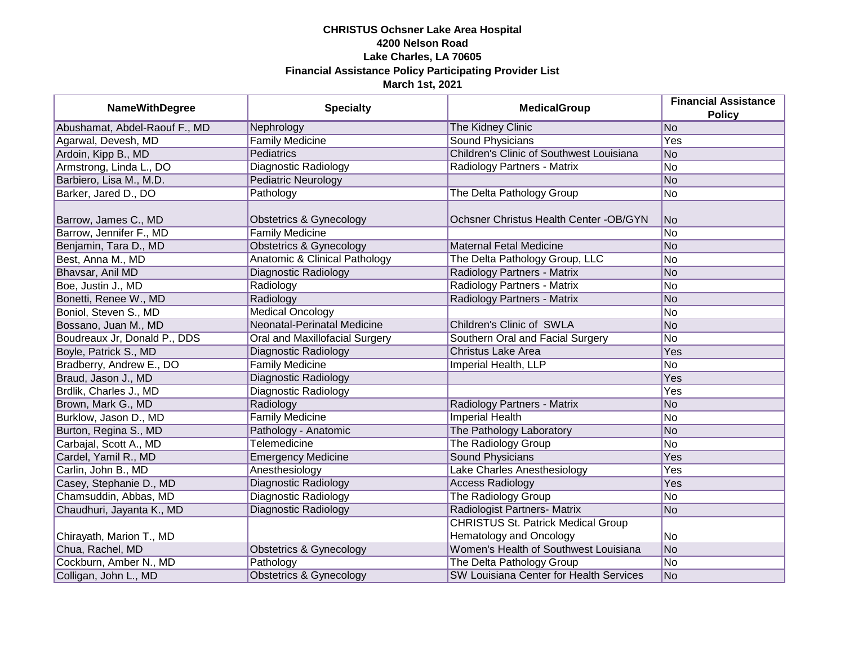| <b>NameWithDegree</b>         | <b>Specialty</b>                         | <b>MedicalGroup</b>                       | <b>Financial Assistance</b><br><b>Policy</b> |
|-------------------------------|------------------------------------------|-------------------------------------------|----------------------------------------------|
| Abushamat, Abdel-Raouf F., MD | Nephrology                               | <b>The Kidney Clinic</b>                  | No                                           |
| Agarwal, Devesh, MD           | <b>Family Medicine</b>                   | <b>Sound Physicians</b>                   | <b>Yes</b>                                   |
| Ardoin, Kipp B., MD           | <b>Pediatrics</b>                        | Children's Clinic of Southwest Louisiana  | No                                           |
| Armstrong, Linda L., DO       | Diagnostic Radiology                     | Radiology Partners - Matrix               | No                                           |
| Barbiero, Lisa M., M.D.       | <b>Pediatric Neurology</b>               |                                           | No                                           |
| Barker, Jared D., DO          | Pathology                                | The Delta Pathology Group                 | No                                           |
| Barrow, James C., MD          | Obstetrics & Gynecology                  | Ochsner Christus Health Center - OB/GYN   | No.                                          |
| Barrow, Jennifer F., MD       | <b>Family Medicine</b>                   |                                           | N <sub>o</sub>                               |
| Benjamin, Tara D., MD         | <b>Obstetrics &amp; Gynecology</b>       | <b>Maternal Fetal Medicine</b>            | No                                           |
| Best, Anna M., MD             | <b>Anatomic &amp; Clinical Pathology</b> | The Delta Pathology Group, LLC            | No                                           |
| Bhavsar, Anil MD              | Diagnostic Radiology                     | Radiology Partners - Matrix               | No                                           |
| Boe, Justin J., MD            | Radiology                                | Radiology Partners - Matrix               | No                                           |
| Bonetti, Renee W., MD         | Radiology                                | Radiology Partners - Matrix               | No                                           |
| Boniol, Steven S., MD         | <b>Medical Oncology</b>                  |                                           | No                                           |
| Bossano, Juan M., MD          | Neonatal-Perinatal Medicine              | Children's Clinic of SWLA                 | No                                           |
| Boudreaux Jr, Donald P., DDS  | Oral and Maxillofacial Surgery           | Southern Oral and Facial Surgery          | No                                           |
| Boyle, Patrick S., MD         | Diagnostic Radiology                     | <b>Christus Lake Area</b>                 | Yes                                          |
| Bradberry, Andrew E., DO      | <b>Family Medicine</b>                   | Imperial Health, LLP                      | No                                           |
| Braud, Jason J., MD           | <b>Diagnostic Radiology</b>              |                                           | Yes                                          |
| Brdlik, Charles J., MD        | Diagnostic Radiology                     |                                           | Yes                                          |
| Brown, Mark G., MD            | Radiology                                | Radiology Partners - Matrix               | No                                           |
| Burklow, Jason D., MD         | <b>Family Medicine</b>                   | <b>Imperial Health</b>                    | No.                                          |
| Burton, Regina S., MD         | Pathology - Anatomic                     | The Pathology Laboratory                  | No                                           |
| Carbajal, Scott A., MD        | Telemedicine                             | The Radiology Group                       | No                                           |
| Cardel, Yamil R., MD          | <b>Emergency Medicine</b>                | Sound Physicians                          | Yes                                          |
| Carlin, John B., MD           | Anesthesiology                           | Lake Charles Anesthesiology               | Yes                                          |
| Casey, Stephanie D., MD       | Diagnostic Radiology                     | <b>Access Radiology</b>                   | Yes                                          |
| Chamsuddin, Abbas, MD         | <b>Diagnostic Radiology</b>              | The Radiology Group                       | No                                           |
| Chaudhuri, Jayanta K., MD     | Diagnostic Radiology                     | Radiologist Partners- Matrix              | No                                           |
|                               |                                          | <b>CHRISTUS St. Patrick Medical Group</b> |                                              |
| Chirayath, Marion T., MD      |                                          | Hematology and Oncology                   | No                                           |
| Chua, Rachel, MD              | <b>Obstetrics &amp; Gynecology</b>       | Women's Health of Southwest Louisiana     | No                                           |
| Cockburn, Amber N., MD        | Pathology                                | The Delta Pathology Group                 | No                                           |
| Colligan, John L., MD         | <b>Obstetrics &amp; Gynecology</b>       | SW Louisiana Center for Health Services   | No                                           |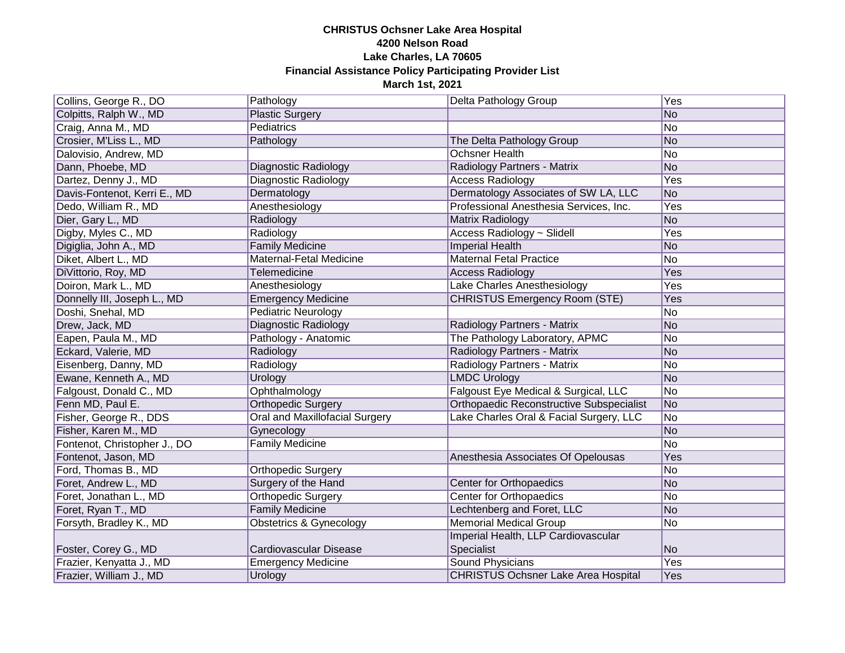| Collins, George R., DO       | Pathology                             | Delta Pathology Group                           | Yes            |
|------------------------------|---------------------------------------|-------------------------------------------------|----------------|
| Colpitts, Ralph W., MD       | <b>Plastic Surgery</b>                |                                                 | No             |
| Craig, Anna M., MD           | Pediatrics                            |                                                 | No             |
| Crosier, M'Liss L., MD       | Pathology                             | The Delta Pathology Group                       | No             |
| Dalovisio, Andrew, MD        |                                       | <b>Ochsner Health</b>                           | No             |
| Dann, Phoebe, MD             | Diagnostic Radiology                  | Radiology Partners - Matrix                     | No             |
| Dartez, Denny J., MD         | Diagnostic Radiology                  | <b>Access Radiology</b>                         | Yes            |
| Davis-Fontenot, Kerri E., MD | Dermatology                           | Dermatology Associates of SW LA, LLC            | No             |
| Dedo, William R., MD         | Anesthesiology                        | Professional Anesthesia Services, Inc.          | Yes            |
| Dier, Gary L., MD            | Radiology                             | Matrix Radiology                                | No             |
| Digby, Myles C., MD          | Radiology                             | Access Radiology ~ Slidell                      | Yes            |
| Digiglia, John A., MD        | <b>Family Medicine</b>                | <b>Imperial Health</b>                          | No             |
| Diket, Albert L., MD         | Maternal-Fetal Medicine               | <b>Maternal Fetal Practice</b>                  | No             |
| DiVittorio, Roy, MD          | Telemedicine                          | <b>Access Radiology</b>                         | Yes            |
| Doiron, Mark L., MD          | Anesthesiology                        | Lake Charles Anesthesiology                     | Yes            |
| Donnelly III, Joseph L., MD  | <b>Emergency Medicine</b>             | <b>CHRISTUS Emergency Room (STE)</b>            | Yes            |
| Doshi, Snehal, MD            | <b>Pediatric Neurology</b>            |                                                 | No             |
| Drew, Jack, MD               | Diagnostic Radiology                  | Radiology Partners - Matrix                     | No             |
| Eapen, Paula M., MD          | Pathology - Anatomic                  | The Pathology Laboratory, APMC                  | No             |
| Eckard, Valerie, MD          | Radiology                             | <b>Radiology Partners - Matrix</b>              | No             |
| Eisenberg, Danny, MD         | Radiology                             | Radiology Partners - Matrix                     | No             |
| Ewane, Kenneth A., MD        | Urology                               | <b>LMDC Urology</b>                             | No             |
| Falgoust, Donald C., MD      | Ophthalmology                         | Falgoust Eye Medical & Surgical, LLC            | No             |
| Fenn MD, Paul E.             | <b>Orthopedic Surgery</b>             | <b>Orthopaedic Reconstructive Subspecialist</b> | No             |
| Fisher, George R., DDS       | <b>Oral and Maxillofacial Surgery</b> | Lake Charles Oral & Facial Surgery, LLC         | No             |
| Fisher, Karen M., MD         | Gynecology                            |                                                 | No             |
| Fontenot, Christopher J., DO | <b>Family Medicine</b>                |                                                 | No             |
| Fontenot, Jason, MD          |                                       | Anesthesia Associates Of Opelousas              | Yes            |
| Ford, Thomas B., MD          | <b>Orthopedic Surgery</b>             |                                                 | No             |
| Foret, Andrew L., MD         | Surgery of the Hand                   | Center for Orthopaedics                         | No             |
| Foret, Jonathan L., MD       | <b>Orthopedic Surgery</b>             | <b>Center for Orthopaedics</b>                  | No             |
| Foret, Ryan T., MD           | <b>Family Medicine</b>                | Lechtenberg and Foret, LLC                      | No             |
| Forsyth, Bradley K., MD      | Obstetrics & Gynecology               | <b>Memorial Medical Group</b>                   | No             |
|                              |                                       | Imperial Health, LLP Cardiovascular             |                |
| Foster, Corey G., MD         | Cardiovascular Disease                | Specialist                                      | N <sub>o</sub> |
| Frazier, Kenyatta J., MD     | <b>Emergency Medicine</b>             | Sound Physicians                                | Yes            |
| Frazier, William J., MD      | Urology                               | <b>CHRISTUS Ochsner Lake Area Hospital</b>      | Yes            |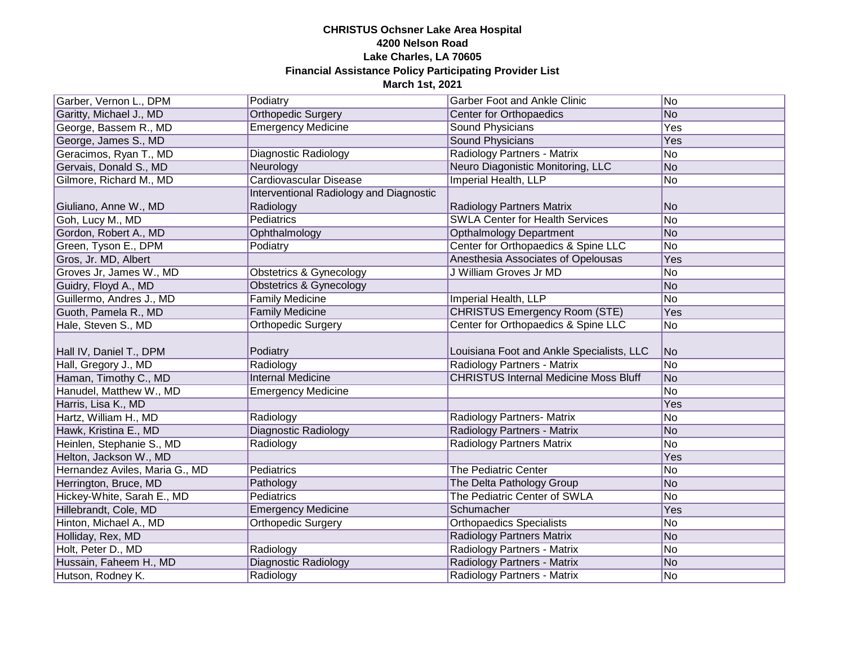| Garber, Vernon L., DPM                      | Podiatry                                | <b>Garber Foot and Ankle Clinic</b>                        | No             |
|---------------------------------------------|-----------------------------------------|------------------------------------------------------------|----------------|
| Garitty, Michael J., MD                     | <b>Orthopedic Surgery</b>               | Center for Orthopaedics                                    | No             |
| George, Bassem R., MD                       | <b>Emergency Medicine</b>               | Sound Physicians                                           | Yes            |
| George, James S., MD                        |                                         | <b>Sound Physicians</b>                                    | Yes            |
| Geracimos, Ryan T., MD                      | Diagnostic Radiology                    | Radiology Partners - Matrix                                | No             |
| Gervais, Donald S., MD                      | Neurology                               | Neuro Diagonistic Monitoring, LLC                          | No             |
| Gilmore, Richard M., MD                     | <b>Cardiovascular Disease</b>           | Imperial Health, LLP                                       | No             |
|                                             | Interventional Radiology and Diagnostic |                                                            |                |
| Giuliano, Anne W., MD                       | Radiology                               | <b>Radiology Partners Matrix</b>                           | No             |
| Goh, Lucy M., MD                            | Pediatrics                              | <b>SWLA Center for Health Services</b>                     | No             |
| Gordon, Robert A., MD                       | Ophthalmology                           | <b>Opthalmology Department</b>                             | No             |
| Green, Tyson E., DPM                        | Podiatry                                | Center for Orthopaedics & Spine LLC                        | No             |
| Gros, Jr. MD, Albert                        |                                         | Anesthesia Associates of Opelousas                         | Yes            |
| Groves Jr, James W., MD                     | Obstetrics & Gynecology                 | J William Groves Jr MD                                     | No             |
| Guidry, Floyd A., MD                        | <b>Obstetrics &amp; Gynecology</b>      |                                                            | No             |
| Guillermo, Andres J., MD                    | <b>Family Medicine</b>                  | Imperial Health, LLP                                       | No             |
| Guoth, Pamela R., MD                        | <b>Family Medicine</b>                  | <b>CHRISTUS Emergency Room (STE)</b>                       | Yes            |
| Hale, Steven S., MD                         | Orthopedic Surgery                      | Center for Orthopaedics & Spine LLC                        | No             |
|                                             |                                         |                                                            |                |
|                                             |                                         |                                                            |                |
| Hall IV, Daniel T., DPM                     | Podiatry                                | Louisiana Foot and Ankle Specialists, LLC                  | No.            |
| Hall, Gregory J., MD                        | Radiology                               | Radiology Partners - Matrix                                | No.            |
| Haman, Timothy C., MD                       | <b>Internal Medicine</b>                | <b>CHRISTUS Internal Medicine Moss Bluff</b>               | N <sub>o</sub> |
| Hanudel, Matthew W., MD                     | <b>Emergency Medicine</b>               |                                                            | lNo            |
| Harris, Lisa K., MD                         |                                         |                                                            | Yes            |
| Hartz, William H., MD                       | Radiology                               | Radiology Partners- Matrix                                 | N <sub>o</sub> |
| Hawk, Kristina E., MD                       | <b>Diagnostic Radiology</b>             | Radiology Partners - Matrix                                | No             |
| Heinlen, Stephanie S., MD                   | Radiology                               | <b>Radiology Partners Matrix</b>                           | No.            |
| Helton, Jackson W., MD                      |                                         |                                                            | Yes            |
| Hernandez Aviles, Maria G., MD              | Pediatrics                              | The Pediatric Center                                       | No             |
| Herrington, Bruce, MD                       | Pathology                               | The Delta Pathology Group                                  | No             |
| Hickey-White, Sarah E., MD                  | Pediatrics                              | The Pediatric Center of SWLA                               | No.            |
| Hillebrandt, Cole, MD                       | <b>Emergency Medicine</b>               | Schumacher                                                 | Yes            |
| Hinton, Michael A., MD                      | <b>Orthopedic Surgery</b>               | <b>Orthopaedics Specialists</b>                            | No.            |
| Holliday, Rex, MD                           |                                         | <b>Radiology Partners Matrix</b>                           | No             |
| Holt, Peter D., MD                          | Radiology                               | Radiology Partners - Matrix                                | No             |
| Hussain, Faheem H., MD<br>Hutson, Rodney K. | Diagnostic Radiology<br>Radiology       | Radiology Partners - Matrix<br>Radiology Partners - Matrix | No<br>No.      |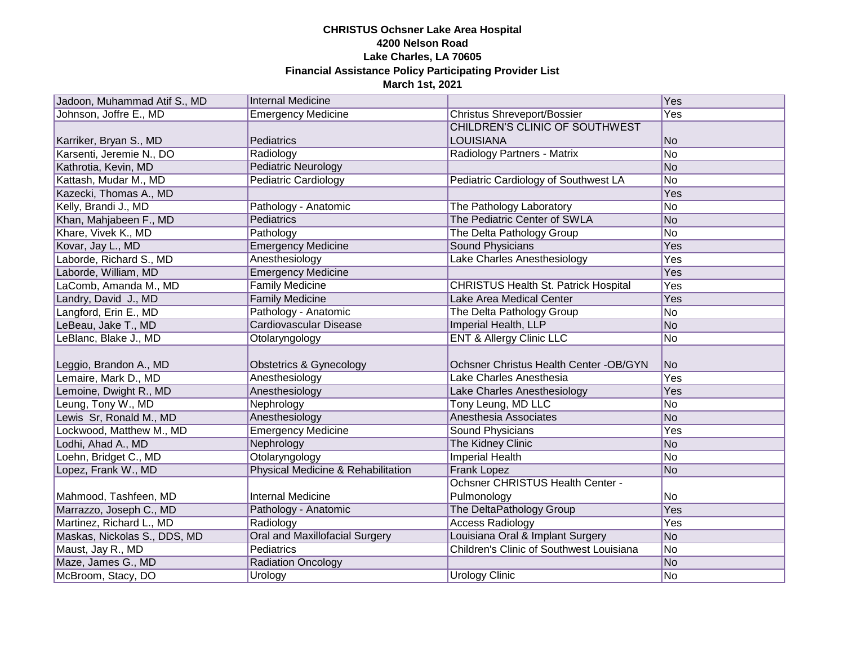| Jadoon, Muhammad Atif S., MD | Internal Medicine                  |                                             | Yes        |
|------------------------------|------------------------------------|---------------------------------------------|------------|
| Johnson, Joffre E., MD       | <b>Emergency Medicine</b>          | <b>Christus Shreveport/Bossier</b>          | Yes        |
|                              |                                    | <b>CHILDREN'S CLINIC OF SOUTHWEST</b>       |            |
| Karriker, Bryan S., MD       | Pediatrics                         | <b>LOUISIANA</b>                            | No         |
| Karsenti, Jeremie N., DO     | Radiology                          | Radiology Partners - Matrix                 | No         |
| Kathrotia, Kevin, MD         | <b>Pediatric Neurology</b>         |                                             | No         |
| Kattash, Mudar M., MD        | <b>Pediatric Cardiology</b>        | Pediatric Cardiology of Southwest LA        | No         |
| Kazecki, Thomas A., MD       |                                    |                                             | Yes        |
| Kelly, Brandi J., MD         | Pathology - Anatomic               | The Pathology Laboratory                    | No         |
| Khan, Mahjabeen F., MD       | Pediatrics                         | The Pediatric Center of SWLA                | No         |
| Khare, Vivek K., MD          | Pathology                          | The Delta Pathology Group                   | No         |
| Kovar, Jay L., MD            | <b>Emergency Medicine</b>          | <b>Sound Physicians</b>                     | Yes        |
| Laborde, Richard S., MD      | Anesthesiology                     | Lake Charles Anesthesiology                 | Yes        |
| Laborde, William, MD         | <b>Emergency Medicine</b>          |                                             | <b>Yes</b> |
| LaComb, Amanda M., MD        | <b>Family Medicine</b>             | <b>CHRISTUS Health St. Patrick Hospital</b> | <b>Yes</b> |
| Landry, David J., MD         | <b>Family Medicine</b>             | Lake Area Medical Center                    | Yes        |
| Langford, Erin E., MD        | Pathology - Anatomic               | The Delta Pathology Group                   | No         |
| LeBeau, Jake T., MD          | <b>Cardiovascular Disease</b>      | Imperial Health, LLP                        | No         |
| LeBlanc, Blake J., MD        | Otolaryngology                     | <b>ENT &amp; Allergy Clinic LLC</b>         | No         |
|                              |                                    |                                             |            |
| Leggio, Brandon A., MD       | Obstetrics & Gynecology            | Ochsner Christus Health Center -OB/GYN      | No         |
| Lemaire, Mark D., MD         | Anesthesiology                     | Lake Charles Anesthesia                     | Yes        |
| Lemoine, Dwight R., MD       | Anesthesiology                     | Lake Charles Anesthesiology                 | Yes        |
| Leung, Tony W., MD           | Nephrology                         | Tony Leung, MD LLC                          | No         |
| Lewis Sr, Ronald M., MD      | Anesthesiology                     | Anesthesia Associates                       | No         |
| Lockwood, Matthew M., MD     | <b>Emergency Medicine</b>          | Sound Physicians                            | Yes        |
| Lodhi, Ahad A., MD           | Nephrology                         | The Kidney Clinic                           | No         |
| Loehn, Bridget C., MD        | Otolaryngology                     | <b>Imperial Health</b>                      | No         |
| Lopez, Frank W., MD          | Physical Medicine & Rehabilitation | <b>Frank Lopez</b>                          | No         |
|                              |                                    | Ochsner CHRISTUS Health Center -            |            |
| Mahmood, Tashfeen, MD        | <b>Internal Medicine</b>           | Pulmonology                                 | No         |
| Marrazzo, Joseph C., MD      | Pathology - Anatomic               | The DeltaPathology Group                    | Yes        |
| Martinez, Richard L., MD     | Radiology                          | <b>Access Radiology</b>                     | Yes        |
| Maskas, Nickolas S., DDS, MD | Oral and Maxillofacial Surgery     | Louisiana Oral & Implant Surgery            | No         |
| Maust, Jay R., MD            | Pediatrics                         | Children's Clinic of Southwest Louisiana    | No         |
| Maze, James G., MD           | <b>Radiation Oncology</b>          |                                             | No         |
| McBroom, Stacy, DO           | Urology                            | Urology Clinic                              | No.        |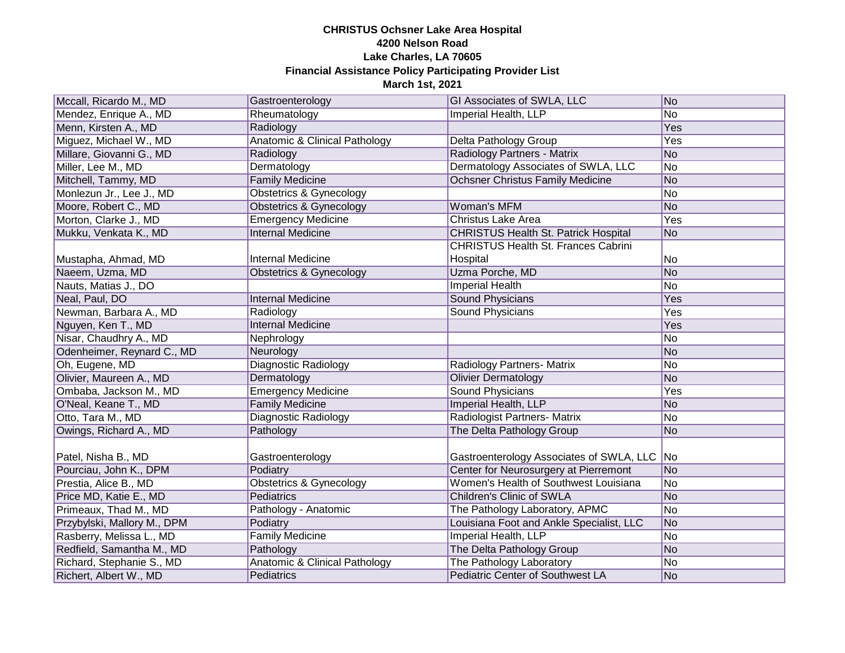| Mccall, Ricardo M., MD      | Gastroenterology                         | GI Associates of SWLA, LLC                  | No             |
|-----------------------------|------------------------------------------|---------------------------------------------|----------------|
| Mendez, Enrique A., MD      | Rheumatology                             | Imperial Health, LLP                        | No             |
| Menn, Kirsten A., MD        | Radiology                                |                                             | Yes            |
| Miguez, Michael W., MD      | <b>Anatomic &amp; Clinical Pathology</b> | Delta Pathology Group                       | Yes            |
| Millare, Giovanni G., MD    | Radiology                                | Radiology Partners - Matrix                 | No             |
| Miller, Lee M., MD          | Dermatology                              | Dermatology Associates of SWLA, LLC         | No             |
| Mitchell, Tammy, MD         | <b>Family Medicine</b>                   | <b>Ochsner Christus Family Medicine</b>     | No             |
| Monlezun Jr., Lee J., MD    | <b>Obstetrics &amp; Gynecology</b>       |                                             | No             |
| Moore, Robert C., MD        | <b>Obstetrics &amp; Gynecology</b>       | Woman's MFM                                 | No             |
| Morton, Clarke J., MD       | <b>Emergency Medicine</b>                | <b>Christus Lake Area</b>                   | Yes            |
| Mukku, Venkata K., MD       | <b>Internal Medicine</b>                 | <b>CHRISTUS Health St. Patrick Hospital</b> | N <sub>o</sub> |
|                             |                                          | <b>CHRISTUS Health St. Frances Cabrini</b>  |                |
| Mustapha, Ahmad, MD         | <b>Internal Medicine</b>                 | Hospital                                    | No             |
| Naeem, Uzma, MD             | <b>Obstetrics &amp; Gynecology</b>       | Uzma Porche, MD                             | No             |
| Nauts, Matias J., DO        |                                          | <b>Imperial Health</b>                      | No             |
| Neal, Paul, DO              | <b>Internal Medicine</b>                 | <b>Sound Physicians</b>                     | Yes            |
| Newman, Barbara A., MD      | Radiology                                | <b>Sound Physicians</b>                     | Yes            |
| Nguyen, Ken T., MD          | <b>Internal Medicine</b>                 |                                             | Yes            |
| Nisar, Chaudhry A., MD      | Nephrology                               |                                             | No             |
| Odenheimer, Reynard C., MD  | Neurology                                |                                             | No             |
| Oh, Eugene, MD              | <b>Diagnostic Radiology</b>              | <b>Radiology Partners- Matrix</b>           | No             |
| Olivier, Maureen A., MD     | Dermatology                              | <b>Olivier Dermatology</b>                  | No             |
| Ombaba, Jackson M., MD      | <b>Emergency Medicine</b>                | <b>Sound Physicians</b>                     | Yes            |
| O'Neal, Keane T., MD        | <b>Family Medicine</b>                   | Imperial Health, LLP                        | No             |
| Otto, Tara M., MD           | <b>Diagnostic Radiology</b>              | Radiologist Partners- Matrix                | No             |
| Owings, Richard A., MD      | Pathology                                | The Delta Pathology Group                   | N <sub>o</sub> |
|                             |                                          |                                             |                |
| Patel, Nisha B., MD         | Gastroenterology                         | Gastroenterology Associates of SWLA, LLC    | No             |
| Pourciau, John K., DPM      | Podiatry                                 | Center for Neurosurgery at Pierremont       | No             |
| Prestia, Alice B., MD       | <b>Obstetrics &amp; Gynecology</b>       | Women's Health of Southwest Louisiana       | No             |
| Price MD, Katie E., MD      | Pediatrics                               | <b>Children's Clinic of SWLA</b>            | No             |
| Primeaux, Thad M., MD       | Pathology - Anatomic                     | The Pathology Laboratory, APMC              | No             |
| Przybylski, Mallory M., DPM | Podiatry                                 | Louisiana Foot and Ankle Specialist, LLC    | No             |
| Rasberry, Melissa L., MD    | <b>Family Medicine</b>                   | Imperial Health, LLP                        | No             |
| Redfield, Samantha M., MD   | Pathology                                | The Delta Pathology Group                   | No             |
| Richard, Stephanie S., MD   | Anatomic & Clinical Pathology            | The Pathology Laboratory                    | No             |
| Richert, Albert W., MD      | Pediatrics                               | <b>Pediatric Center of Southwest LA</b>     | No             |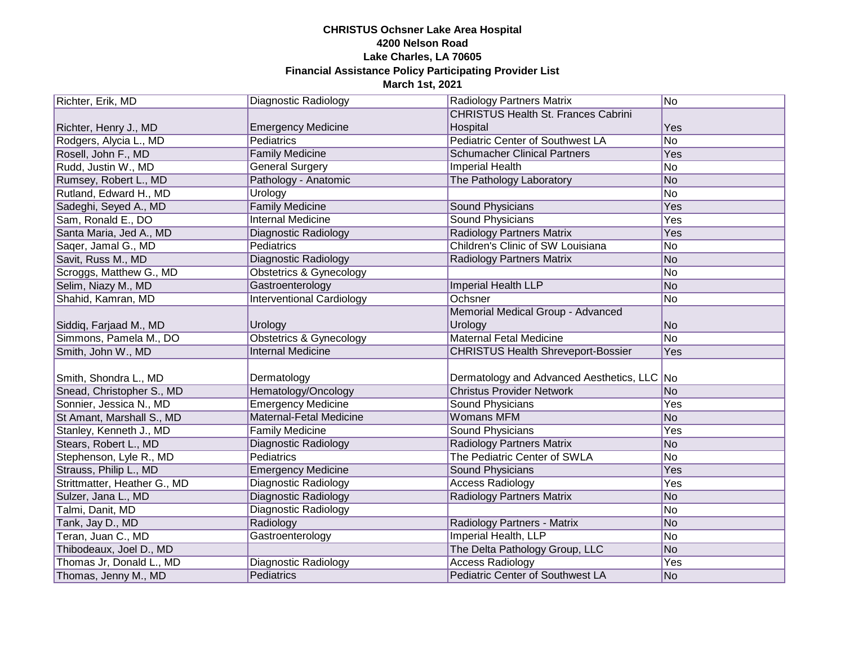| Richter, Erik, MD                                | <b>Diagnostic Radiology</b>                      | <b>Radiology Partners Matrix</b>            | No             |
|--------------------------------------------------|--------------------------------------------------|---------------------------------------------|----------------|
|                                                  |                                                  | <b>CHRISTUS Health St. Frances Cabrini</b>  |                |
| Richter, Henry J., MD                            | <b>Emergency Medicine</b>                        | Hospital                                    | Yes            |
| Rodgers, Alycia L., MD                           | <b>Pediatrics</b>                                | Pediatric Center of Southwest LA            | No             |
| Rosell, John F., MD                              | <b>Family Medicine</b>                           | <b>Schumacher Clinical Partners</b>         | Yes            |
| Rudd, Justin W., MD                              | <b>General Surgery</b>                           | <b>Imperial Health</b>                      | No             |
| Rumsey, Robert L., MD                            | Pathology - Anatomic                             | The Pathology Laboratory                    | No             |
| Rutland, Edward H., MD                           | Urology                                          |                                             | No             |
| Sadeghi, Seyed A., MD                            | <b>Family Medicine</b>                           | <b>Sound Physicians</b>                     | Yes            |
| Sam, Ronald E., DO                               | <b>Internal Medicine</b>                         | <b>Sound Physicians</b>                     | Yes            |
| Santa Maria, Jed A., MD                          | <b>Diagnostic Radiology</b>                      | <b>Radiology Partners Matrix</b>            | Yes            |
| Saqer, Jamal G., MD                              | <b>Pediatrics</b>                                | Children's Clinic of SW Louisiana           | No             |
| Savit, Russ M., MD                               | <b>Diagnostic Radiology</b>                      | <b>Radiology Partners Matrix</b>            | No             |
| Scroggs, Matthew G., MD                          | <b>Obstetrics &amp; Gynecology</b>               |                                             | No             |
| Selim, Niazy M., MD                              | Gastroenterology                                 | <b>Imperial Health LLP</b>                  | No             |
| Shahid, Kamran, MD                               | <b>Interventional Cardiology</b>                 | Ochsner                                     | No             |
|                                                  |                                                  | Memorial Medical Group - Advanced           |                |
| Siddiq, Farjaad M., MD                           | Urology                                          | Urology                                     | No             |
| Simmons, Pamela M., DO                           | <b>Obstetrics &amp; Gynecology</b>               | <b>Maternal Fetal Medicine</b>              | No             |
| Smith, John W., MD                               | <b>Internal Medicine</b>                         | <b>CHRISTUS Health Shreveport-Bossier</b>   | Yes            |
| Smith, Shondra L., MD                            |                                                  | Dermatology and Advanced Aesthetics, LLC No |                |
| Snead, Christopher S., MD                        | Dermatology<br>Hematology/Oncology               | <b>Christus Provider Network</b>            | N <sub>o</sub> |
| Sonnier, Jessica N., MD                          | <b>Emergency Medicine</b>                        | <b>Sound Physicians</b>                     | Yes            |
|                                                  | <b>Maternal-Fetal Medicine</b>                   | <b>Womans MFM</b>                           | No             |
| St Amant, Marshall S., MD                        | <b>Family Medicine</b>                           | <b>Sound Physicians</b>                     | Yes            |
| Stanley, Kenneth J., MD                          |                                                  | <b>Radiology Partners Matrix</b>            | No             |
| Stears, Robert L., MD<br>Stephenson, Lyle R., MD | <b>Diagnostic Radiology</b><br><b>Pediatrics</b> | The Pediatric Center of SWLA                | No             |
| Strauss, Philip L., MD                           | <b>Emergency Medicine</b>                        | <b>Sound Physicians</b>                     | <b>Yes</b>     |
| Strittmatter, Heather G., MD                     |                                                  | <b>Access Radiology</b>                     | <b>Yes</b>     |
|                                                  | <b>Diagnostic Radiology</b>                      | <b>Radiology Partners Matrix</b>            | N <sub>o</sub> |
| Sulzer, Jana L., MD<br>Talmi, Danit, MD          | <b>Diagnostic Radiology</b>                      |                                             | No             |
|                                                  | <b>Diagnostic Radiology</b>                      |                                             | No             |
| Tank, Jay D., MD                                 | Radiology                                        | Radiology Partners - Matrix                 | No             |
| Teran, Juan C., MD                               | Gastroenterology                                 | <b>Imperial Health, LLP</b>                 | N <sub>o</sub> |
| Thibodeaux, Joel D., MD                          |                                                  | The Delta Pathology Group, LLC              | Yes            |
| Thomas Jr, Donald L., MD                         | Diagnostic Radiology                             | <b>Access Radiology</b>                     |                |
| Thomas, Jenny M., MD                             | Pediatrics                                       | Pediatric Center of Southwest LA            | No             |